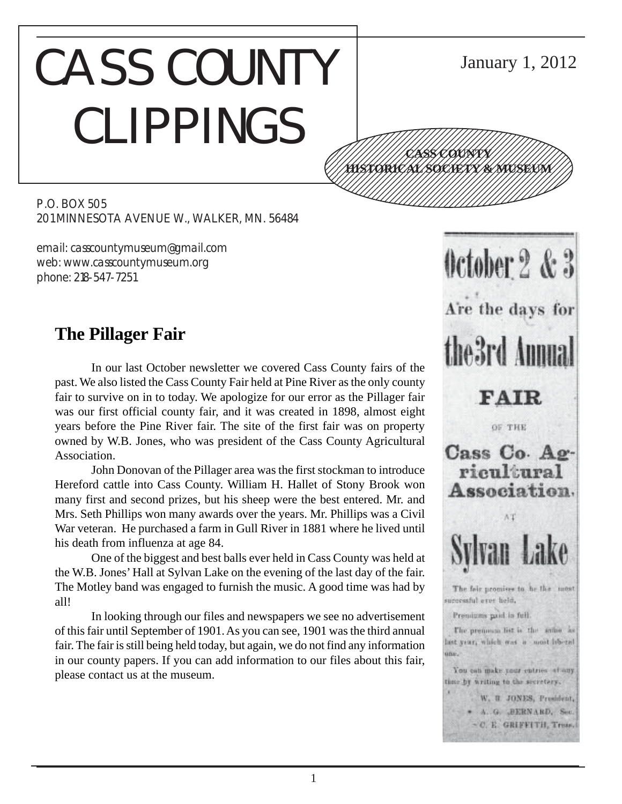# CASS COUNTY CLIPPINGS 12345678901234567890123456789012345678901234567890123456789012345678901234567890123456789012345678901234567890 12345678901234567890123456789012345678901234567890123456789012345678901234567890123456789012345678901234567890 12345678901234567890123456789012123456789012345 12345678901234567890123456789012123456789012345

P.O. BOX 505 201 MINNESOTA AVENUE W., WALKER, MN. 56484

email: casscountymuseum@gmail.com web: www.casscountymuseum.org phone: 218-547-7251

# **The Pillager Fair**

In our last October newsletter we covered Cass County fairs of the past. We also listed the Cass County Fair held at Pine River as the only county fair to survive on in to today. We apologize for our error as the Pillager fair was our first official county fair, and it was created in 1898, almost eight years before the Pine River fair. The site of the first fair was on property owned by W.B. Jones, who was president of the Cass County Agricultural Association.

John Donovan of the Pillager area was the first stockman to introduce Hereford cattle into Cass County. William H. Hallet of Stony Brook won many first and second prizes, but his sheep were the best entered. Mr. and Mrs. Seth Phillips won many awards over the years. Mr. Phillips was a Civil War veteran. He purchased a farm in Gull River in 1881 where he lived until his death from influenza at age 84.

One of the biggest and best balls ever held in Cass County was held at the W.B. Jones' Hall at Sylvan Lake on the evening of the last day of the fair. The Motley band was engaged to furnish the music. A good time was had by all!

In looking through our files and newspapers we see no advertisement of this fair until September of 1901. As you can see, 1901 was the third annual fair. The fair is still being held today, but again, we do not find any information in our county papers. If you can add information to our files about this fair, please contact us at the museum.

 $0$ ctober  $2 & 3$ Are the days for the 3rd Annua **FAIR** OF THE Cass Co. Agricultural Association. AT The fair promises to be the most surcessful ever held. Premiuses paid in full. The prenoun list is the same as het year, which was a most inbend uni. You can make your cutries at any time by writing to the secretary. W. R. JONES, President, \* A. G. BERNARD, Sec. ~C. E. GRIFFITH, Tress.

January 1, 2012

12345678901234567890123456789012123456789012345 <u>\///HYSTORICAL SOCIETY/&/MUSEUM///</u> 12345678901234567890123456789012123456789012345 1234 The Territorial Contract in the Contract of the Contract of the Contract of the Contract of the Contract 12345678901234567890123456789012345678901234567890123456789012345678901234567890123456789012345678901234567890

**CASS COUNTY**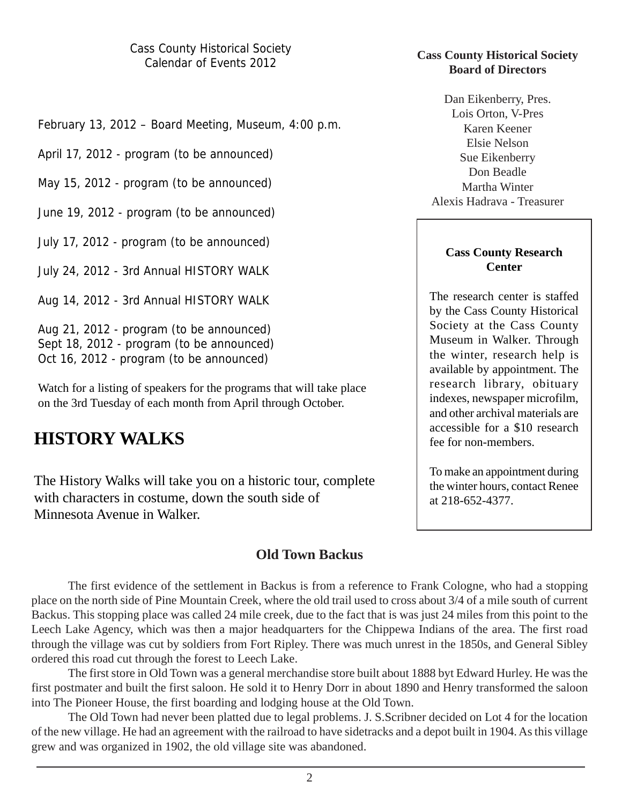February 13, 2012 – Board Meeting, Museum, 4:00 p.m.

April 17, 2012 - program (to be announced)

May 15, 2012 - program (to be announced)

June 19, 2012 - program (to be announced)

July 17, 2012 - program (to be announced)

July 24, 2012 - 3rd Annual HISTORY WALK

Aug 14, 2012 - 3rd Annual HISTORY WALK

Aug 21, 2012 - program (to be announced) Sept 18, 2012 - program (to be announced) Oct 16, 2012 - program (to be announced)

Watch for a listing of speakers for the programs that will take place on the 3rd Tuesday of each month from April through October.

# **HISTORY WALKS**

The History Walks will take you on a historic tour, complete with characters in costume, down the south side of Minnesota Avenue in Walker.

## **Old Town Backus**

The first evidence of the settlement in Backus is from a reference to Frank Cologne, who had a stopping place on the north side of Pine Mountain Creek, where the old trail used to cross about 3/4 of a mile south of current Backus. This stopping place was called 24 mile creek, due to the fact that is was just 24 miles from this point to the Leech Lake Agency, which was then a major headquarters for the Chippewa Indians of the area. The first road through the village was cut by soldiers from Fort Ripley. There was much unrest in the 1850s, and General Sibley ordered this road cut through the forest to Leech Lake.

The first store in Old Town was a general merchandise store built about 1888 byt Edward Hurley. He was the first postmater and built the first saloon. He sold it to Henry Dorr in about 1890 and Henry transformed the saloon into The Pioneer House, the first boarding and lodging house at the Old Town.

The Old Town had never been platted due to legal problems. J. S.Scribner decided on Lot 4 for the location of the new village. He had an agreement with the railroad to have sidetracks and a depot built in 1904. As this village grew and was organized in 1902, the old village site was abandoned.

#### **Cass County Historical Society Board of Directors**

Dan Eikenberry, Pres. Lois Orton, V-Pres Karen Keener Elsie Nelson Sue Eikenberry Don Beadle Martha Winter Alexis Hadrava - Treasurer

#### **Cass County Research Center**

The research center is staffed by the Cass County Historical Society at the Cass County Museum in Walker. Through the winter, research help is available by appointment. The research library, obituary indexes, newspaper microfilm, and other archival materials are accessible for a \$10 research fee for non-members.

To make an appointment during the winter hours, contact Renee at 218-652-4377.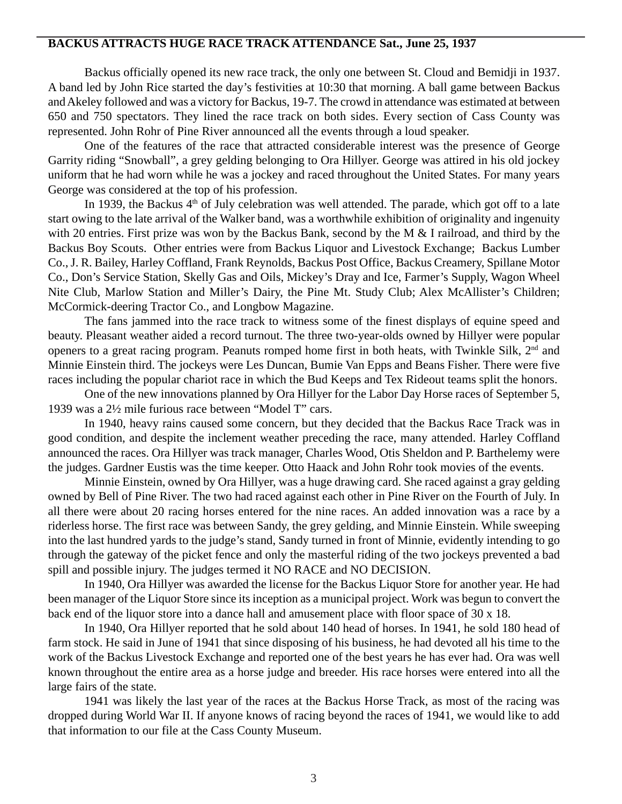#### **BACKUS ATTRACTS HUGE RACE TRACK ATTENDANCE Sat., June 25, 1937**

Backus officially opened its new race track, the only one between St. Cloud and Bemidji in 1937. A band led by John Rice started the day's festivities at 10:30 that morning. A ball game between Backus and Akeley followed and was a victory for Backus, 19-7. The crowd in attendance was estimated at between 650 and 750 spectators. They lined the race track on both sides. Every section of Cass County was represented. John Rohr of Pine River announced all the events through a loud speaker.

One of the features of the race that attracted considerable interest was the presence of George Garrity riding "Snowball", a grey gelding belonging to Ora Hillyer. George was attired in his old jockey uniform that he had worn while he was a jockey and raced throughout the United States. For many years George was considered at the top of his profession.

In 1939, the Backus  $4<sup>th</sup>$  of July celebration was well attended. The parade, which got off to a late start owing to the late arrival of the Walker band, was a worthwhile exhibition of originality and ingenuity with 20 entries. First prize was won by the Backus Bank, second by the M & I railroad, and third by the Backus Boy Scouts. Other entries were from Backus Liquor and Livestock Exchange; Backus Lumber Co., J. R. Bailey, Harley Coffland, Frank Reynolds, Backus Post Office, Backus Creamery, Spillane Motor Co., Don's Service Station, Skelly Gas and Oils, Mickey's Dray and Ice, Farmer's Supply, Wagon Wheel Nite Club, Marlow Station and Miller's Dairy, the Pine Mt. Study Club; Alex McAllister's Children; McCormick-deering Tractor Co., and Longbow Magazine.

The fans jammed into the race track to witness some of the finest displays of equine speed and beauty. Pleasant weather aided a record turnout. The three two-year-olds owned by Hillyer were popular openers to a great racing program. Peanuts romped home first in both heats, with Twinkle Silk, 2nd and Minnie Einstein third. The jockeys were Les Duncan, Bumie Van Epps and Beans Fisher. There were five races including the popular chariot race in which the Bud Keeps and Tex Rideout teams split the honors.

One of the new innovations planned by Ora Hillyer for the Labor Day Horse races of September 5, 1939 was a 2½ mile furious race between "Model T" cars.

In 1940, heavy rains caused some concern, but they decided that the Backus Race Track was in good condition, and despite the inclement weather preceding the race, many attended. Harley Coffland announced the races. Ora Hillyer was track manager, Charles Wood, Otis Sheldon and P. Barthelemy were the judges. Gardner Eustis was the time keeper. Otto Haack and John Rohr took movies of the events.

Minnie Einstein, owned by Ora Hillyer, was a huge drawing card. She raced against a gray gelding owned by Bell of Pine River. The two had raced against each other in Pine River on the Fourth of July. In all there were about 20 racing horses entered for the nine races. An added innovation was a race by a riderless horse. The first race was between Sandy, the grey gelding, and Minnie Einstein. While sweeping into the last hundred yards to the judge's stand, Sandy turned in front of Minnie, evidently intending to go through the gateway of the picket fence and only the masterful riding of the two jockeys prevented a bad spill and possible injury. The judges termed it NO RACE and NO DECISION.

In 1940, Ora Hillyer was awarded the license for the Backus Liquor Store for another year. He had been manager of the Liquor Store since its inception as a municipal project. Work was begun to convert the back end of the liquor store into a dance hall and amusement place with floor space of 30 x 18.

In 1940, Ora Hillyer reported that he sold about 140 head of horses. In 1941, he sold 180 head of farm stock. He said in June of 1941 that since disposing of his business, he had devoted all his time to the work of the Backus Livestock Exchange and reported one of the best years he has ever had. Ora was well known throughout the entire area as a horse judge and breeder. His race horses were entered into all the large fairs of the state.

1941 was likely the last year of the races at the Backus Horse Track, as most of the racing was dropped during World War II. If anyone knows of racing beyond the races of 1941, we would like to add that information to our file at the Cass County Museum.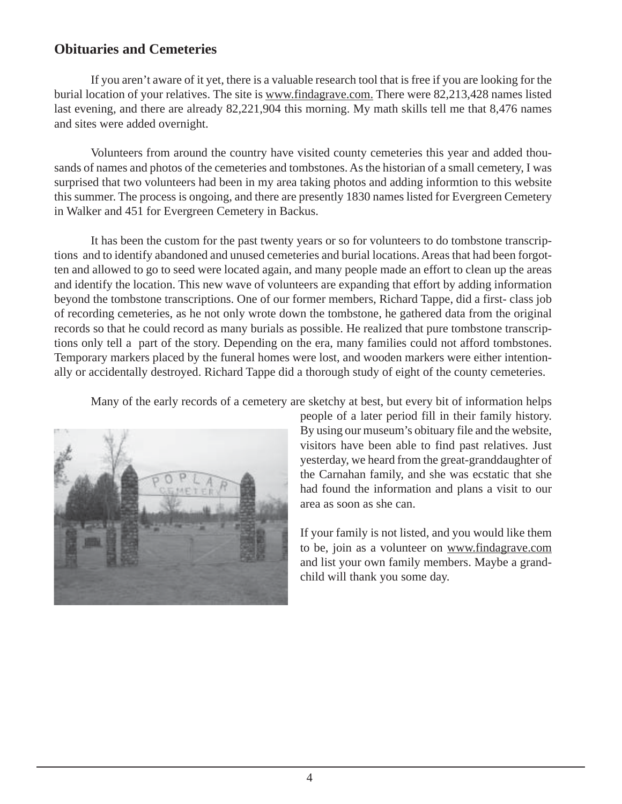## **Obituaries and Cemeteries**

If you aren't aware of it yet, there is a valuable research tool that is free if you are looking for the burial location of your relatives. The site is www.findagrave.com. There were 82,213,428 names listed last evening, and there are already 82,221,904 this morning. My math skills tell me that 8,476 names and sites were added overnight.

Volunteers from around the country have visited county cemeteries this year and added thousands of names and photos of the cemeteries and tombstones. As the historian of a small cemetery, I was surprised that two volunteers had been in my area taking photos and adding informtion to this website this summer. The process is ongoing, and there are presently 1830 names listed for Evergreen Cemetery in Walker and 451 for Evergreen Cemetery in Backus.

It has been the custom for the past twenty years or so for volunteers to do tombstone transcriptions and to identify abandoned and unused cemeteries and burial locations. Areas that had been forgotten and allowed to go to seed were located again, and many people made an effort to clean up the areas and identify the location. This new wave of volunteers are expanding that effort by adding information beyond the tombstone transcriptions. One of our former members, Richard Tappe, did a first- class job of recording cemeteries, as he not only wrote down the tombstone, he gathered data from the original records so that he could record as many burials as possible. He realized that pure tombstone transcriptions only tell a part of the story. Depending on the era, many families could not afford tombstones. Temporary markers placed by the funeral homes were lost, and wooden markers were either intentionally or accidentally destroyed. Richard Tappe did a thorough study of eight of the county cemeteries.

Many of the early records of a cemetery are sketchy at best, but every bit of information helps



people of a later period fill in their family history. By using our museum's obituary file and the website, visitors have been able to find past relatives. Just yesterday, we heard from the great-granddaughter of the Carnahan family, and she was ecstatic that she had found the information and plans a visit to our area as soon as she can.

If your family is not listed, and you would like them to be, join as a volunteer on www.findagrave.com and list your own family members. Maybe a grandchild will thank you some day.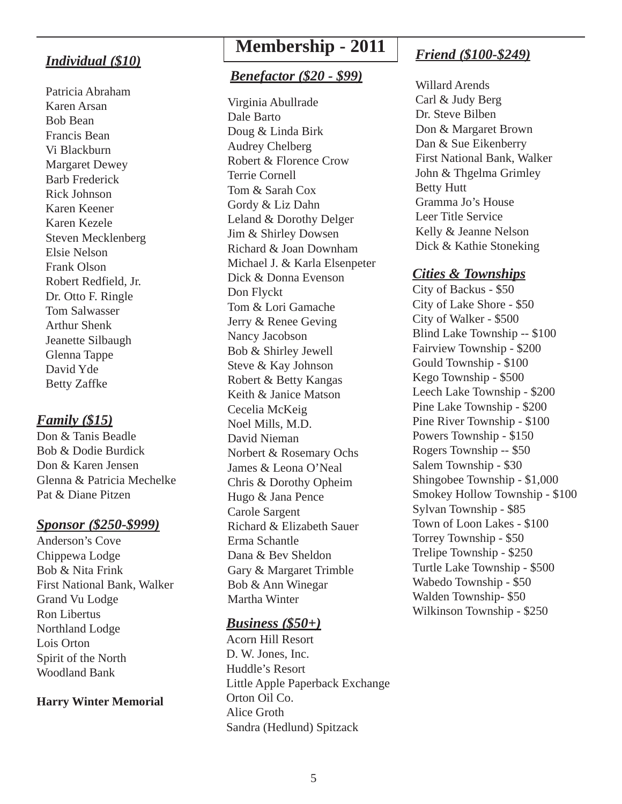## *Individual (\$10)*

Patricia Abraham Karen Arsan Bob Bean Francis Bean Vi Blackburn Margaret Dewey Barb Frederick Rick Johnson Karen Keener Karen Kezele Steven Mecklenberg Elsie Nelson Frank Olson Robert Redfield, Jr. Dr. Otto F. Ringle Tom Salwasser Arthur Shenk Jeanette Silbaugh Glenna Tappe David Yde Betty Zaffke

### *Family (\$15)*

Don & Tanis Beadle Bob & Dodie Burdick Don & Karen Jensen Glenna & Patricia Mechelke Pat & Diane Pitzen

#### *Sponsor (\$250-\$999)*

Anderson's Cove Chippewa Lodge Bob & Nita Frink First National Bank, Walker Grand Vu Lodge Ron Libertus Northland Lodge Lois Orton Spirit of the North Woodland Bank

#### **Harry Winter Memorial**

# **Membership - 2011**

### *Benefactor (\$20 - \$99)*

Virginia Abullrade Dale Barto Doug & Linda Birk Audrey Chelberg Robert & Florence Crow Terrie Cornell Tom & Sarah Cox Gordy & Liz Dahn Leland & Dorothy Delger Jim & Shirley Dowsen Richard & Joan Downham Michael J. & Karla Elsenpeter Dick & Donna Evenson Don Flyckt Tom & Lori Gamache Jerry & Renee Geving Nancy Jacobson Bob & Shirley Jewell Steve & Kay Johnson Robert & Betty Kangas Keith & Janice Matson Cecelia McKeig Noel Mills, M.D. David Nieman Norbert & Rosemary Ochs James & Leona O'Neal Chris & Dorothy Opheim Hugo & Jana Pence Carole Sargent Richard & Elizabeth Sauer Erma Schantle Dana & Bev Sheldon Gary & Margaret Trimble Bob & Ann Winegar Martha Winter

#### *Business (\$50+)*

Acorn Hill Resort D. W. Jones, Inc. Huddle's Resort Little Apple Paperback Exchange Orton Oil Co. Alice Groth Sandra (Hedlund) Spitzack

## *Friend (\$100-\$249)*

Willard Arends Carl & Judy Berg Dr. Steve Bilben Don & Margaret Brown Dan & Sue Eikenberry First National Bank, Walker John & Thgelma Grimley Betty Hutt Gramma Jo's House Leer Title Service Kelly & Jeanne Nelson Dick & Kathie Stoneking

### *Cities & Townships*

City of Backus - \$50 City of Lake Shore - \$50 City of Walker - \$500 Blind Lake Township -- \$100 Fairview Township - \$200 Gould Township - \$100 Kego Township - \$500 Leech Lake Township - \$200 Pine Lake Township - \$200 Pine River Township - \$100 Powers Township - \$150 Rogers Township -- \$50 Salem Township - \$30 Shingobee Township - \$1,000 Smokey Hollow Township - \$100 Sylvan Township - \$85 Town of Loon Lakes - \$100 Torrey Township - \$50 Trelipe Township - \$250 Turtle Lake Township - \$500 Wabedo Township - \$50 Walden Township- \$50 Wilkinson Township - \$250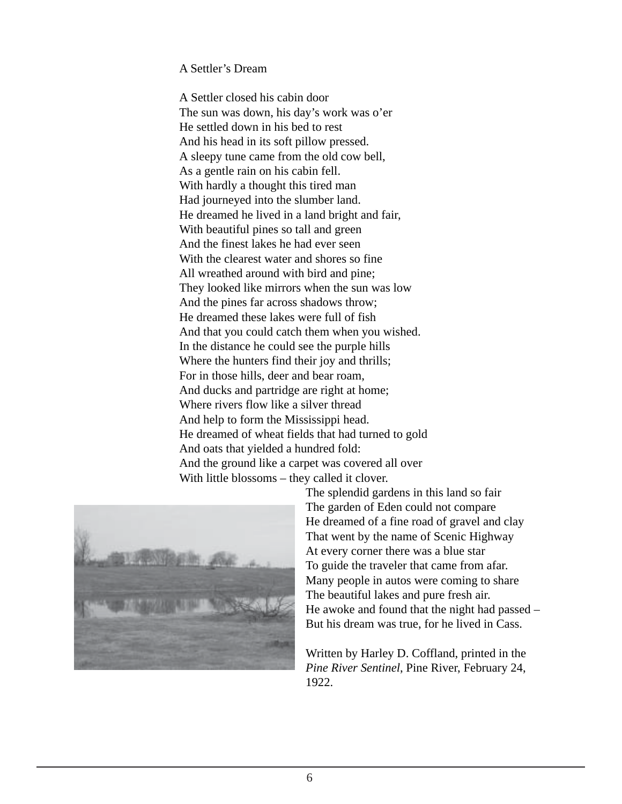#### A Settler's Dream

A Settler closed his cabin door The sun was down, his day's work was o'er He settled down in his bed to rest And his head in its soft pillow pressed. A sleepy tune came from the old cow bell, As a gentle rain on his cabin fell. With hardly a thought this tired man Had journeyed into the slumber land. He dreamed he lived in a land bright and fair, With beautiful pines so tall and green And the finest lakes he had ever seen With the clearest water and shores so fine All wreathed around with bird and pine; They looked like mirrors when the sun was low And the pines far across shadows throw; He dreamed these lakes were full of fish And that you could catch them when you wished. In the distance he could see the purple hills Where the hunters find their joy and thrills; For in those hills, deer and bear roam, And ducks and partridge are right at home; Where rivers flow like a silver thread And help to form the Mississippi head. He dreamed of wheat fields that had turned to gold And oats that yielded a hundred fold: And the ground like a carpet was covered all over With little blossoms – they called it clover.



The splendid gardens in this land so fair The garden of Eden could not compare He dreamed of a fine road of gravel and clay That went by the name of Scenic Highway At every corner there was a blue star To guide the traveler that came from afar. Many people in autos were coming to share The beautiful lakes and pure fresh air. He awoke and found that the night had passed – But his dream was true, for he lived in Cass.

Written by Harley D. Coffland, printed in the *Pine River Sentinel*, Pine River, February 24, 1922.